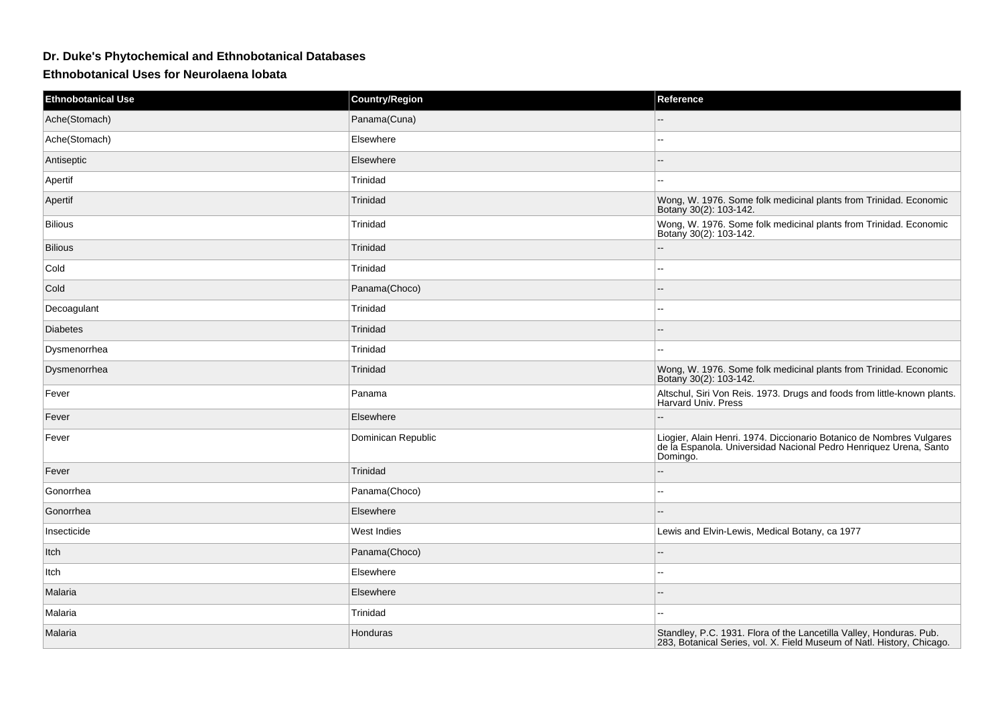## **Dr. Duke's Phytochemical and Ethnobotanical Databases**

**Ethnobotanical Uses for Neurolaena lobata**

| <b>Ethnobotanical Use</b> | <b>Country/Region</b> | Reference                                                                                                                                             |
|---------------------------|-----------------------|-------------------------------------------------------------------------------------------------------------------------------------------------------|
| Ache(Stomach)             | Panama(Cuna)          |                                                                                                                                                       |
| Ache(Stomach)             | Elsewhere             | ۰.                                                                                                                                                    |
| Antiseptic                | Elsewhere             | $-$                                                                                                                                                   |
| Apertif                   | Trinidad              | --                                                                                                                                                    |
| Apertif                   | Trinidad              | Wong, W. 1976. Some folk medicinal plants from Trinidad. Economic<br>Botany 30(2): 103-142.                                                           |
| <b>Bilious</b>            | Trinidad              | Wong, W. 1976. Some folk medicinal plants from Trinidad. Economic<br>Botany 30(2): 103-142.                                                           |
| <b>Bilious</b>            | Trinidad              |                                                                                                                                                       |
| Cold                      | Trinidad              |                                                                                                                                                       |
| Cold                      | Panama(Choco)         |                                                                                                                                                       |
| Decoagulant               | Trinidad              |                                                                                                                                                       |
| <b>Diabetes</b>           | Trinidad              |                                                                                                                                                       |
| Dysmenorrhea              | Trinidad              |                                                                                                                                                       |
| Dysmenorrhea              | Trinidad              | Wong, W. 1976. Some folk medicinal plants from Trinidad. Economic<br>Botany 30(2): 103-142.                                                           |
| Fever                     | Panama                | Altschul, Siri Von Reis. 1973. Drugs and foods from little-known plants.<br><b>Harvard Univ. Press</b>                                                |
| Fever                     | Elsewhere             |                                                                                                                                                       |
| Fever                     | Dominican Republic    | Liogier, Alain Henri. 1974. Diccionario Botanico de Nombres Vulgares<br>de la Espanola. Universidad Nacional Pedro Henriquez Urena, Santo<br>Domingo. |
| Fever                     | Trinidad              |                                                                                                                                                       |
| Gonorrhea                 | Panama(Choco)         | --                                                                                                                                                    |
| Gonorrhea                 | Elsewhere             | $-$                                                                                                                                                   |
| Insecticide               | West Indies           | Lewis and Elvin-Lewis, Medical Botany, ca 1977                                                                                                        |
| Itch                      | Panama(Choco)         | --                                                                                                                                                    |
| Itch                      | Elsewhere             | $\overline{a}$                                                                                                                                        |
| Malaria                   | Elsewhere             |                                                                                                                                                       |
| Malaria                   | Trinidad              | $\overline{a}$                                                                                                                                        |
| Malaria                   | Honduras              | Standley, P.C. 1931. Flora of the Lancetilla Valley, Honduras. Pub.<br>283, Botanical Series, vol. X. Field Museum of Natl. History, Chicago.         |